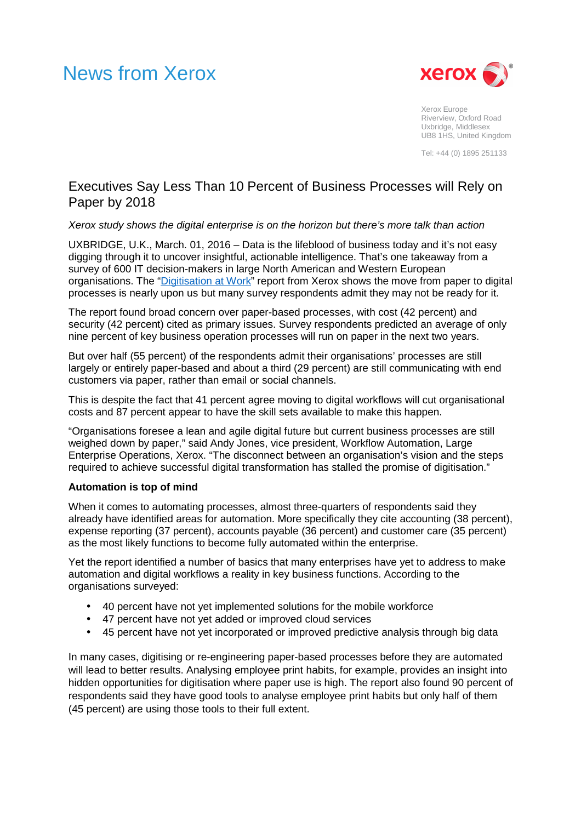# News from Xerox



Xerox Europe Riverview, Oxford Road Uxbridge, Middlesex UB8 1HS, United Kingdom

Tel: +44 (0) 1895 251133

## Executives Say Less Than 10 Percent of Business Processes will Rely on Paper by 2018

### Xerox study shows the digital enterprise is on the horizon but there's more talk than action

UXBRIDGE, U.K., March. 01, 2016 – Data is the lifeblood of business today and it's not easy digging through it to uncover insightful, actionable intelligence. That's one takeaway from a survey of 600 IT decision-makers in large North American and Western European organisations. The "Digitisation at Work" report from Xerox shows the move from paper to digital processes is nearly upon us but many survey respondents admit they may not be ready for it.

The report found broad concern over paper-based processes, with cost (42 percent) and security (42 percent) cited as primary issues. Survey respondents predicted an average of only nine percent of key business operation processes will run on paper in the next two years.

But over half (55 percent) of the respondents admit their organisations' processes are still largely or entirely paper-based and about a third (29 percent) are still communicating with end customers via paper, rather than email or social channels.

This is despite the fact that 41 percent agree moving to digital workflows will cut organisational costs and 87 percent appear to have the skill sets available to make this happen.

"Organisations foresee a lean and agile digital future but current business processes are still weighed down by paper," said Andy Jones, vice president, Workflow Automation, Large Enterprise Operations, Xerox. "The disconnect between an organisation's vision and the steps required to achieve successful digital transformation has stalled the promise of digitisation."

### **Automation is top of mind**

When it comes to automating processes, almost three-quarters of respondents said they already have identified areas for automation. More specifically they cite accounting (38 percent), expense reporting (37 percent), accounts payable (36 percent) and customer care (35 percent) as the most likely functions to become fully automated within the enterprise.

Yet the report identified a number of basics that many enterprises have yet to address to make automation and digital workflows a reality in key business functions. According to the organisations surveyed:

- 40 percent have not yet implemented solutions for the mobile workforce
- 47 percent have not yet added or improved cloud services
- 45 percent have not yet incorporated or improved predictive analysis through big data

In many cases, digitising or re-engineering paper-based processes before they are automated will lead to better results. Analysing employee print habits, for example, provides an insight into hidden opportunities for digitisation where paper use is high. The report also found 90 percent of respondents said they have good tools to analyse employee print habits but only half of them (45 percent) are using those tools to their full extent.